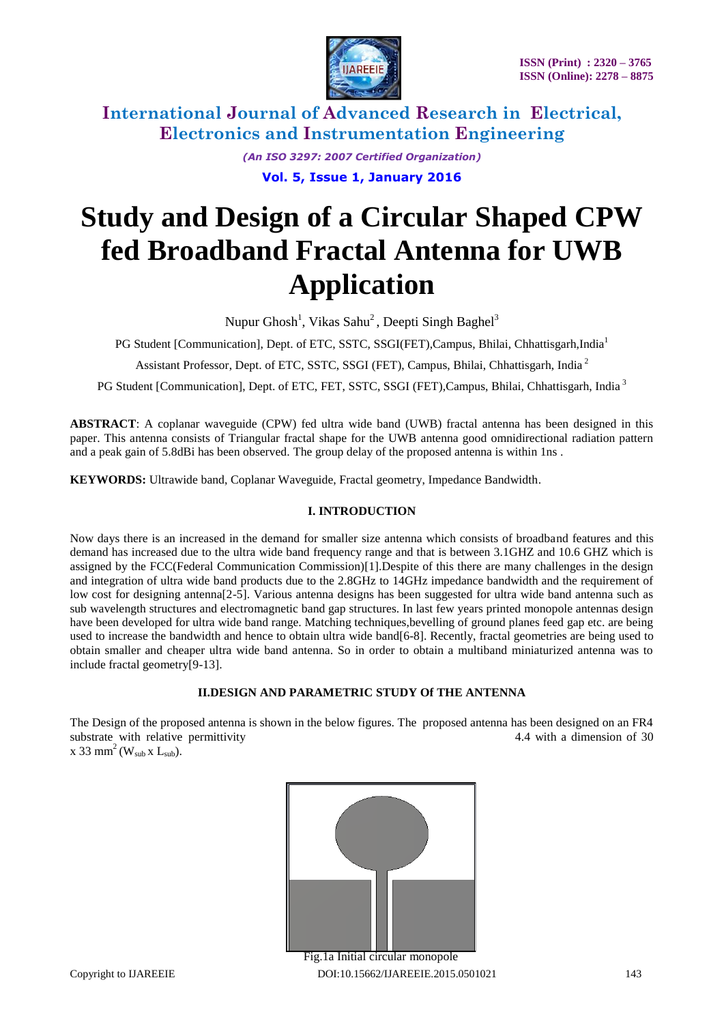

*(An ISO 3297: 2007 Certified Organization)*

**Vol. 5, Issue 1, January 2016**

# **Study and Design of a Circular Shaped CPW fed Broadband Fractal Antenna for UWB Application**

Nupur Ghosh<sup>1</sup>, Vikas Sahu<sup>2</sup>, Deepti Singh Baghel<sup>3</sup>

PG Student [Communication], Dept. of ETC, SSTC, SSGI(FET),Campus, Bhilai, Chhattisgarh,India<sup>1</sup>

Assistant Professor, Dept. of ETC, SSTC, SSGI (FET), Campus, Bhilai, Chhattisgarh, India <sup>2</sup>

PG Student [Communication], Dept. of ETC, FET, SSTC, SSGI (FET), Campus, Bhilai, Chhattisgarh, India<sup>3</sup>

**ABSTRACT**: A coplanar waveguide (CPW) fed ultra wide band (UWB) fractal antenna has been designed in this paper. This antenna consists of Triangular fractal shape for the UWB antenna good omnidirectional radiation pattern and a peak gain of 5.8dBi has been observed. The group delay of the proposed antenna is within 1ns .

**KEYWORDS:** Ultrawide band, Coplanar Waveguide, Fractal geometry, Impedance Bandwidth.

### **I. INTRODUCTION**

Now days there is an increased in the demand for smaller size antenna which consists of broadband features and this demand has increased due to the ultra wide band frequency range and that is between 3.1GHZ and 10.6 GHZ which is assigned by the FCC(Federal Communication Commission)[1].Despite of this there are many challenges in the design and integration of ultra wide band products due to the 2.8GHz to 14GHz impedance bandwidth and the requirement of low cost for designing antenna[2-5]. Various antenna designs has been suggested for ultra wide band antenna such as sub wavelength structures and electromagnetic band gap structures. In last few years printed monopole antennas design have been developed for ultra wide band range. Matching techniques,bevelling of ground planes feed gap etc. are being used to increase the bandwidth and hence to obtain ultra wide band[6-8]. Recently, fractal geometries are being used to obtain smaller and cheaper ultra wide band antenna. So in order to obtain a multiband miniaturized antenna was to include fractal geometry[9-13].

#### **II.DESIGN AND PARAMETRIC STUDY Of THE ANTENNA**

The Design of the proposed antenna is shown in the below figures. The proposed antenna has been designed on an FR4 substrate with relative permittivity and the substrate with relative permittivity and the substrate with a dimension of 30 x 33 mm<sup>2</sup> (W<sub>sub</sub> x L<sub>sub</sub>).



Copyright to IJAREEIE DOI:10.15662/IJAREEIE.2015.0501021 143 Fig.1a Initial circular monopole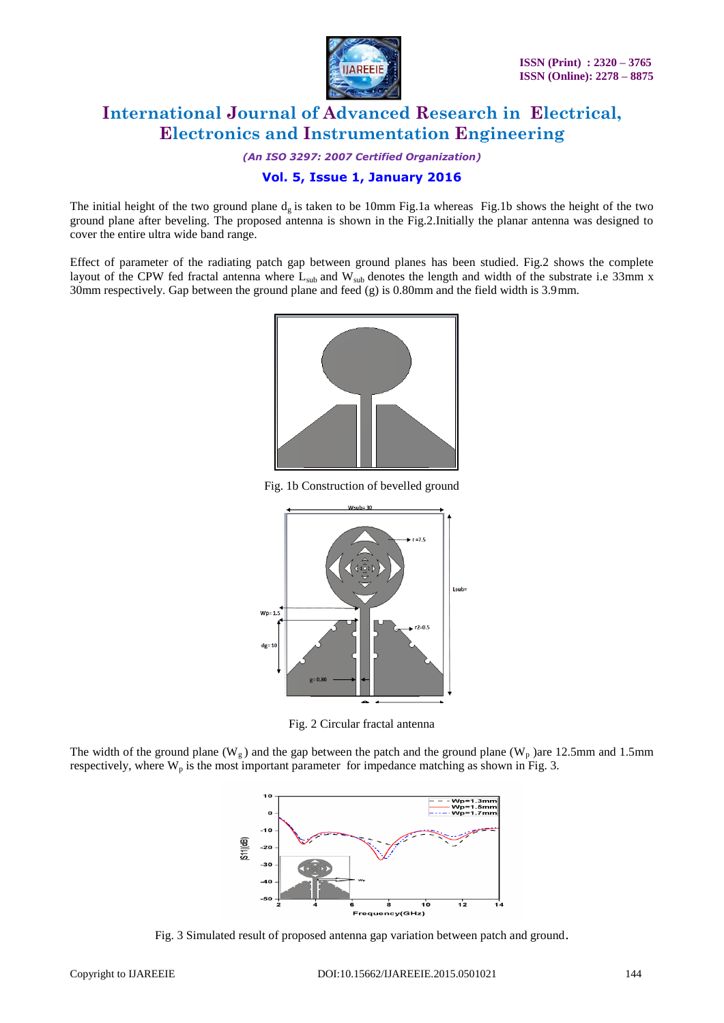

*(An ISO 3297: 2007 Certified Organization)*

### **Vol. 5, Issue 1, January 2016**

The initial height of the two ground plane  $d<sub>g</sub>$  is taken to be 10mm Fig.1a whereas Fig.1b shows the height of the two ground plane after beveling. The proposed antenna is shown in the Fig.2.Initially the planar antenna was designed to cover the entire ultra wide band range.

Effect of parameter of the radiating patch gap between ground planes has been studied. Fig.2 shows the complete layout of the CPW fed fractal antenna where  $L_{sub}$  and  $W_{sub}$  denotes the length and width of the substrate i.e 33mm x 30mm respectively. Gap between the ground plane and feed (g) is 0.80mm and the field width is 3.9mm.



Fig. 1b Construction of bevelled ground



Fig. 2 Circular fractal antenna

The width of the ground plane ( $W_g$ ) and the gap between the patch and the ground plane ( $W_p$ )are 12.5mm and 1.5mm respectively, where  $W_p$  is the most important parameter for impedance matching as shown in Fig. 3.



Fig. 3 Simulated result of proposed antenna gap variation between patch and ground.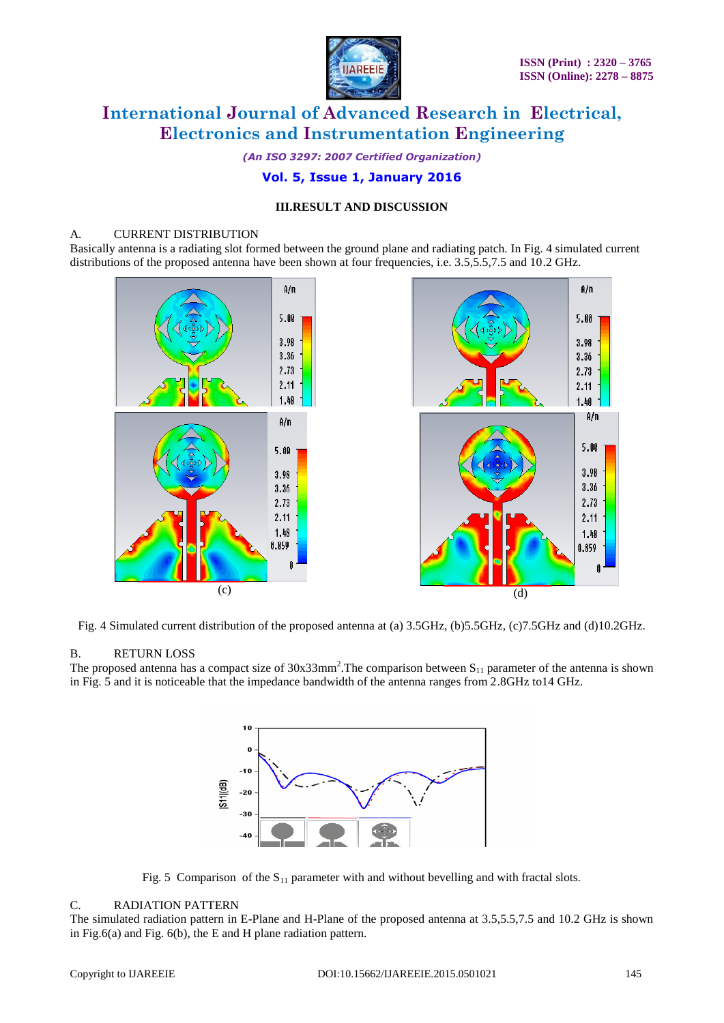

*(An ISO 3297: 2007 Certified Organization)*

## **Vol. 5, Issue 1, January 2016**

### **III.RESULT AND DISCUSSION**

#### A. CURRENT DISTRIBUTION

Basically antenna is a radiating slot formed between the ground plane and radiating patch. In Fig. 4 simulated current distributions of the proposed antenna have been shown at four frequencies, i.e. 3.5,5.5,7.5 and 10.2 GHz.



Fig. 4 Simulated current distribution of the proposed antenna at (a) 3.5GHz, (b)5.5GHz, (c)7.5GHz and (d)10.2GHz.

#### B. RETURN LOSS

The proposed antenna has a compact size of  $30x33mm^2$ . The comparison between  $S_{11}$  parameter of the antenna is shown in Fig. 5 and it is noticeable that the impedance bandwidth of the antenna ranges from 2.8GHz to14 GHz.



Fig. 5 Comparison of the  $S_{11}$  parameter with and without bevelling and with fractal slots.

### C. RADIATION PATTERN

The simulated radiation pattern in E-Plane and H-Plane of the proposed antenna at 3.5,5.5,7.5 and 10.2 GHz is shown in Fig.6(a) and Fig. 6(b), the E and H plane radiation pattern.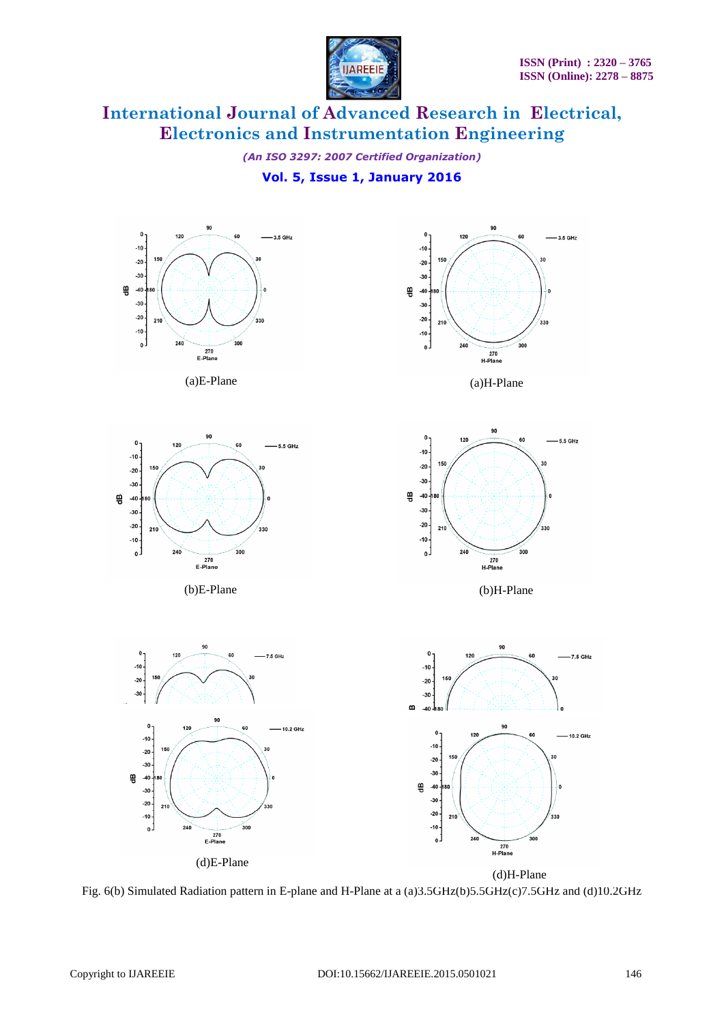

*(An ISO 3297: 2007 Certified Organization)*

# **Vol. 5, Issue 1, January 2016**



Fig. 6(b) Simulated Radiation pattern in E-plane and H-Plane at a (a)3.5GHz(b)5.5GHz(c)7.5GHz and (d)10.2GHz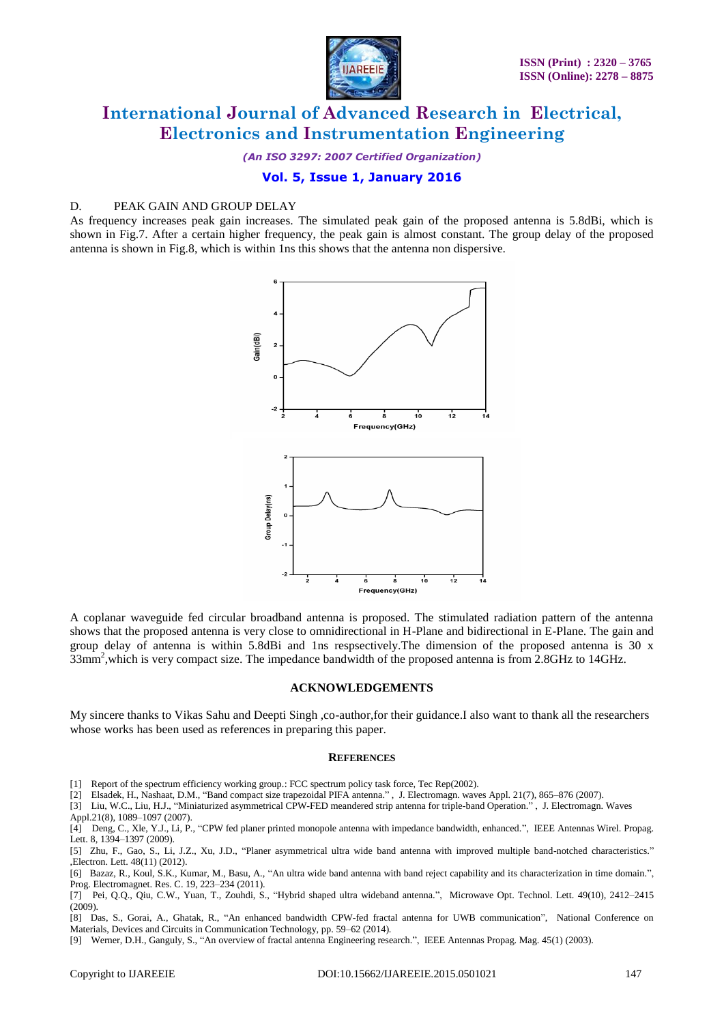

*(An ISO 3297: 2007 Certified Organization)*

### **Vol. 5, Issue 1, January 2016**

### D. PEAK GAIN AND GROUP DELAY

As frequency increases peak gain increases. The simulated peak gain of the proposed antenna is 5.8dBi, which is shown in Fig.7. After a certain higher frequency, the peak gain is almost constant. The group delay of the proposed antenna is shown in Fig.8, which is within 1ns this shows that the antenna non dispersive.



A coplanar waveguide fed circular broadband antenna is proposed. The stimulated radiation pattern of the antenna shows that the proposed antenna is very close to omnidirectional in H-Plane and bidirectional in E-Plane. The gain and group delay of antenna is within 5.8dBi and 1ns respsectively.The dimension of the proposed antenna is 30 x 33mm<sup>2</sup>, which is very compact size. The impedance bandwidth of the proposed antenna is from 2.8GHz to 14GHz.

#### **ACKNOWLEDGEMENTS**

My sincere thanks to Vikas Sahu and Deepti Singh ,co-author,for their guidance.I also want to thank all the researchers whose works has been used as references in preparing this paper.

#### **REFERENCES**

- [1] Report of the spectrum efficiency working group.: FCC spectrum policy task force, Tec Rep(2002).
- [2] Elsadek, H., Nashaat, D.M., "Band compact size trapezoidal PIFA antenna." , J. Electromagn. waves Appl. 21(7), 865–876 (2007).

[3] Liu, W.C., Liu, H.J., "Miniaturized asymmetrical CPW-FED meandered strip antenna for triple-band Operation." , J. Electromagn. Waves

Appl.21(8), 1089–1097 (2007).

[8] Das, S., Gorai, A., Ghatak, R., "An enhanced bandwidth CPW-fed fractal antenna for UWB communication", National Conference on Materials, Devices and Circuits in Communication Technology, pp. 59–62 (2014).

[9] Werner, D.H., Ganguly, S., "An overview of fractal antenna Engineering research.", IEEE Antennas Propag. Mag. 45(1) (2003).

<sup>[4]</sup> Deng, C., Xle, Y.J., Li, P., "CPW fed planer printed monopole antenna with impedance bandwidth, enhanced.", IEEE Antennas Wirel. Propag. Lett. 8, 1394–1397 (2009).

<sup>[5]</sup> Zhu, F., Gao, S., Li, J.Z., Xu, J.D., "Planer asymmetrical ultra wide band antenna with improved multiple band-notched characteristics." ,Electron. Lett. 48(11) (2012).

<sup>[6]</sup> Bazaz, R., Koul, S.K., Kumar, M., Basu, A., "An ultra wide band antenna with band reject capability and its characterization in time domain.", Prog. Electromagnet. Res. C. 19, 223–234 (2011).

<sup>[7]</sup> Pei, Q.Q., Qiu, C.W., Yuan, T., Zouhdi, S., "Hybrid shaped ultra wideband antenna.", Microwave Opt. Technol. Lett. 49(10), 2412–2415 (2009).